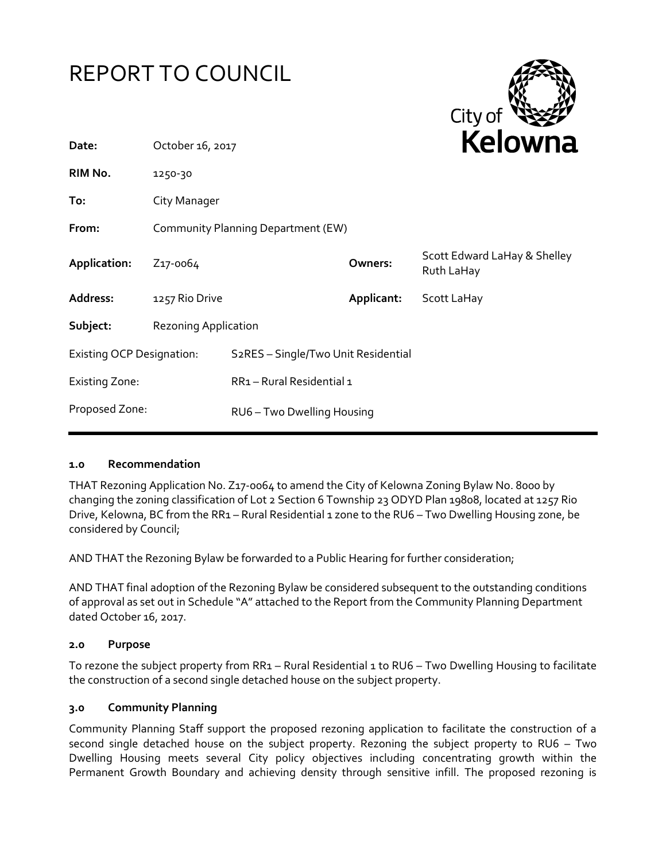



| Date:                            | October 16, 2017                   |                                                  |            | <b>NEIUWII</b> d                           |
|----------------------------------|------------------------------------|--------------------------------------------------|------------|--------------------------------------------|
| RIM No.                          | 1250-30                            |                                                  |            |                                            |
| To:                              | City Manager                       |                                                  |            |                                            |
| From:                            | Community Planning Department (EW) |                                                  |            |                                            |
| Application:                     | Z <sub>17</sub> -0064              |                                                  | Owners:    | Scott Edward LaHay & Shelley<br>Ruth LaHay |
| Address:                         | 1257 Rio Drive                     |                                                  | Applicant: | Scott LaHay                                |
| Subject:                         | <b>Rezoning Application</b>        |                                                  |            |                                            |
| <b>Existing OCP Designation:</b> |                                    | S <sub>2</sub> RES - Single/Two Unit Residential |            |                                            |
| <b>Existing Zone:</b>            |                                    | RR1-Rural Residential 1                          |            |                                            |
| Proposed Zone:                   |                                    | RU6-Two Dwelling Housing                         |            |                                            |
|                                  |                                    |                                                  |            |                                            |

### **1.0 Recommendation**

THAT Rezoning Application No. Z17-0064 to amend the City of Kelowna Zoning Bylaw No. 8000 by changing the zoning classification of Lot 2 Section 6 Township 23 ODYD Plan 19808, located at 1257 Rio Drive, Kelowna, BC from the RR1 – Rural Residential 1 zone to the RU6 – Two Dwelling Housing zone, be considered by Council;

AND THAT the Rezoning Bylaw be forwarded to a Public Hearing for further consideration;

AND THAT final adoption of the Rezoning Bylaw be considered subsequent to the outstanding conditions of approval as set out in Schedule "A" attached to the Report from the Community Planning Department dated October 16, 2017.

### **2.0 Purpose**

To rezone the subject property from RR1 – Rural Residential 1 to RU6 – Two Dwelling Housing to facilitate the construction of a second single detached house on the subject property.

### **3.0 Community Planning**

Community Planning Staff support the proposed rezoning application to facilitate the construction of a second single detached house on the subject property. Rezoning the subject property to RU6 – Two Dwelling Housing meets several City policy objectives including concentrating growth within the Permanent Growth Boundary and achieving density through sensitive infill. The proposed rezoning is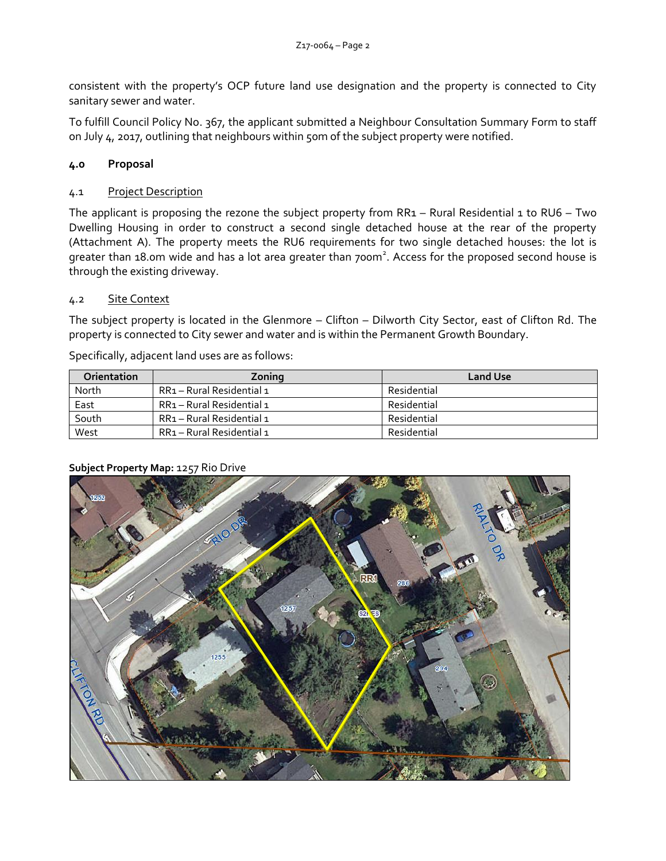consistent with the property's OCP future land use designation and the property is connected to City sanitary sewer and water.

To fulfill Council Policy No. 367, the applicant submitted a Neighbour Consultation Summary Form to staff on July 4, 2017, outlining that neighbours within 50m of the subject property were notified.

# **4.0 Proposal**

## 4.1 Project Description

The applicant is proposing the rezone the subject property from  $RR_1 - Rural$  Residential 1 to  $RUS - Two$ Dwelling Housing in order to construct a second single detached house at the rear of the property (Attachment A). The property meets the RU6 requirements for two single detached houses: the lot is greater than 18.0m wide and has a lot area greater than 700m<sup>2</sup>. Access for the proposed second house is through the existing driveway.

## 4.2 Site Context

The subject property is located in the Glenmore – Clifton – Dilworth City Sector, east of Clifton Rd. The property is connected to City sewer and water and is within the Permanent Growth Boundary.

Specifically, adjacent land uses are as follows:

| <b>Orientation</b> | Zonina                    | <b>Land Use</b> |
|--------------------|---------------------------|-----------------|
| North              | RR1 – Rural Residential 1 | Residential     |
| East               | RR1 – Rural Residential 1 | Residential     |
| South              | RR1 - Rural Residential 1 | Residential     |
| West               | RR1 – Rural Residential 1 | Residential     |



### **Subject Property Map:** 1257 Rio Drive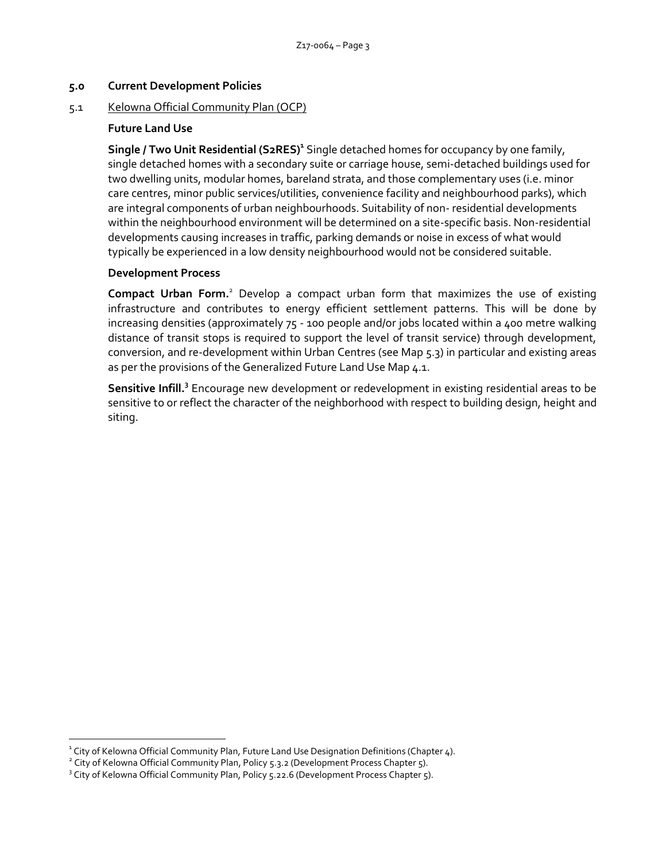### **5.0 Current Development Policies**

#### 5.1 Kelowna Official Community Plan (OCP)

#### **Future Land Use**

**Single / Two Unit Residential (S2RES)<sup>1</sup>** Single detached homes for occupancy by one family, single detached homes with a secondary suite or carriage house, semi-detached buildings used for two dwelling units, modular homes, bareland strata, and those complementary uses (i.e. minor care centres, minor public services/utilities, convenience facility and neighbourhood parks), which are integral components of urban neighbourhoods. Suitability of non- residential developments within the neighbourhood environment will be determined on a site-specific basis. Non-residential developments causing increases in traffic, parking demands or noise in excess of what would typically be experienced in a low density neighbourhood would not be considered suitable.

#### **Development Process**

**Compact Urban Form.**<sup>2</sup> Develop a compact urban form that maximizes the use of existing infrastructure and contributes to energy efficient settlement patterns. This will be done by increasing densities (approximately 75 - 100 people and/or jobs located within a 400 metre walking distance of transit stops is required to support the level of transit service) through development, conversion, and re-development within Urban Centres (see Map 5.3) in particular and existing areas as per the provisions of the Generalized Future Land Use Map 4.1.

Sensitive Infill.<sup>3</sup> Encourage new development or redevelopment in existing residential areas to be sensitive to or reflect the character of the neighborhood with respect to building design, height and siting.

1

 $^{\text{1}}$  City of Kelowna Official Community Plan, Future Land Use Designation Definitions (Chapter 4).

<sup>&</sup>lt;sup>2</sup> City of Kelowna Official Community Plan, Policy 5.3.2 (Development Process Chapter 5).

<sup>&</sup>lt;sup>3</sup> City of Kelowna Official Community Plan, Policy 5.22.6 (Development Process Chapter 5).